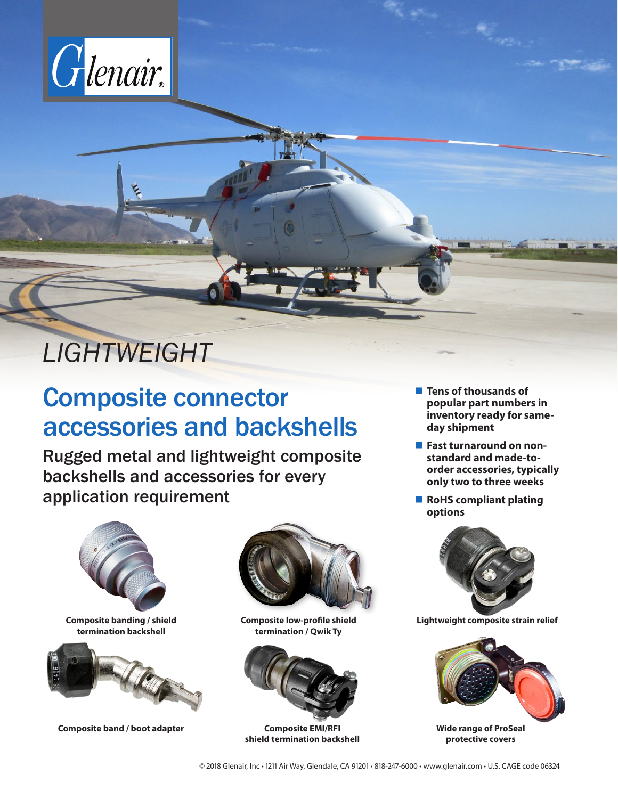

# *LIGHTWEIGHT*

## Composite connector accessories and backshells

Rugged metal and lightweight composite backshells and accessories for every application requirement



**Composite band / boot adapter**



**Composite low-profile shield termination / Qwik Ty**



**Composite EMI/RFI shield termination backshell**

- **Tens of thousands of popular part numbers in inventory ready for sameday shipment**
- **Fast turnaround on nonstandard and made-toorder accessories, typically only two to three weeks**
- **RoHS compliant plating options**





**Wide range of ProSeal protective covers**